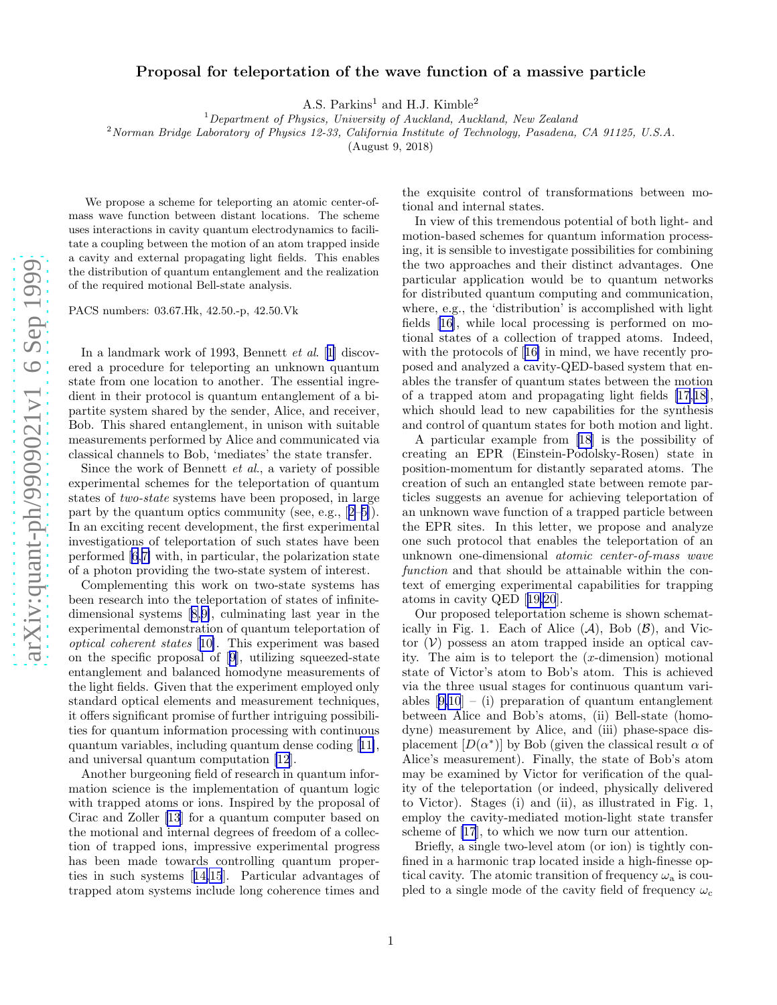## Proposal for teleportation of the wave function of a massive particle

A.S. Parkins<sup>1</sup> and H.J. Kimble<sup>2</sup>

 $1$ Department of Physics, University of Auckland, Auckland, New Zealand

<sup>2</sup>Norman Bridge Laboratory of Physics 12-33, California Institute of Technology, Pasadena, CA 91125, U.S.A.

(August 9, 2018)

We propose a scheme for teleporting an atomic center-ofmass wave function between distant locations. The scheme uses interactions in cavity quantum electrodynamics to facilitate a coupling between the motion of an atom trapped inside a cavity and external propagating light fields. This enables the distribution of quantum entanglement and the realization of the required motional Bell-state analysis.

PACS numbers: 03.67.Hk, 42.50.-p, 42.50.Vk

In a landmark work of 1993, Bennett et al. [\[1](#page-2-0)] discovered a procedure for teleporting an unknown quantum state from one location to another. The essential ingredient in their protocol is quantum entanglement of a bipartite system shared by the sender, Alice, and receiver, Bob. This shared entanglement, in unison with suitable measurements performed by Alice and communicated via classical channels to Bob, 'mediates' the state transfer.

Since the work of Bennett et al., a variety of possible experimental schemes for the teleportation of quantum states of two-state systems have been proposed, in large partby the quantum optics community (see, e.g.,  $[2-5]$ ). In an exciting recent development, the first experimental investigations of teleportation of such states have been performed[[6,7\]](#page-2-0) with, in particular, the polarization state of a photon providing the two-state system of interest.

Complementing this work on two-state systems has been research into the teleportation of states of infinitedimensional systems[[8,9\]](#page-2-0), culminating last year in the experimental demonstration of quantum teleportation of optical coherent states [[10\]](#page-2-0). This experiment was based on the specific proposal of[[9\]](#page-2-0), utilizing squeezed-state entanglement and balanced homodyne measurements of the light fields. Given that the experiment employed only standard optical elements and measurement techniques, it offers significant promise of further intriguing possibilities for quantum information processing with continuous quantum variables, including quantum dense coding[[11\]](#page-2-0), and universal quantum computation [\[12](#page-2-0)].

Another burgeoning field of research in quantum information science is the implementation of quantum logic with trapped atoms or ions. Inspired by the proposal of Cirac and Zoller [\[13](#page-2-0)] for a quantum computer based on the motional and internal degrees of freedom of a collection of trapped ions, impressive experimental progress has been made towards controlling quantum properties in such systems[[14,15](#page-2-0)]. Particular advantages of trapped atom systems include long coherence times and the exquisite control of transformations between motional and internal states.

In view of this tremendous potential of both light- and motion-based schemes for quantum information processing, it is sensible to investigate possibilities for combining the two approaches and their distinct advantages. One particular application would be to quantum networks for distributed quantum computing and communication, where, e.g., the 'distribution' is accomplished with light fields[[16\]](#page-2-0), while local processing is performed on motional states of a collection of trapped atoms. Indeed, withthe protocols of [[16\]](#page-2-0) in mind, we have recently proposed and analyzed a cavity-QED-based system that enables the transfer of quantum states between the motion of a trapped atom and propagating light fields[[17,](#page-2-0)[18\]](#page-3-0), which should lead to new capabilities for the synthesis and control of quantum states for both motion and light.

A particular example from [\[18](#page-3-0)] is the possibility of creating an EPR (Einstein-Podolsky-Rosen) state in position-momentum for distantly separated atoms. The creation of such an entangled state between remote particles suggests an avenue for achieving teleportation of an unknown wave function of a trapped particle between the EPR sites. In this letter, we propose and analyze one such protocol that enables the teleportation of an unknown one-dimensional atomic center-of-mass wave function and that should be attainable within the context of emerging experimental capabilities for trapping atoms in cavity QED[[19,20](#page-3-0)].

Our proposed teleportation scheme is shown schematically in Fig. 1. Each of Alice  $(\mathcal{A})$ , Bob  $(\mathcal{B})$ , and Victor  $(V)$  possess an atom trapped inside an optical cavity. The aim is to teleport the  $(x$ -dimension) motional state of Victor's atom to Bob's atom. This is achieved via the three usual stages for continuous quantum vari-ables $[9,10]$  $[9,10]$  $[9,10]$  – (i) preparation of quantum entanglement between Alice and Bob's atoms, (ii) Bell-state (homodyne) measurement by Alice, and (iii) phase-space displacement  $[D(\alpha^*)]$  by Bob (given the classical result  $\alpha$  of Alice's measurement). Finally, the state of Bob's atom may be examined by Victor for verification of the quality of the teleportation (or indeed, physically delivered to Victor). Stages (i) and (ii), as illustrated in Fig. 1, employ the cavity-mediated motion-light state transfer scheme of [\[17](#page-2-0)], to which we now turn our attention.

Briefly, a single two-level atom (or ion) is tightly confined in a harmonic trap located inside a high-finesse optical cavity. The atomic transition of frequency  $\omega_a$  is coupled to a single mode of the cavity field of frequency  $\omega_c$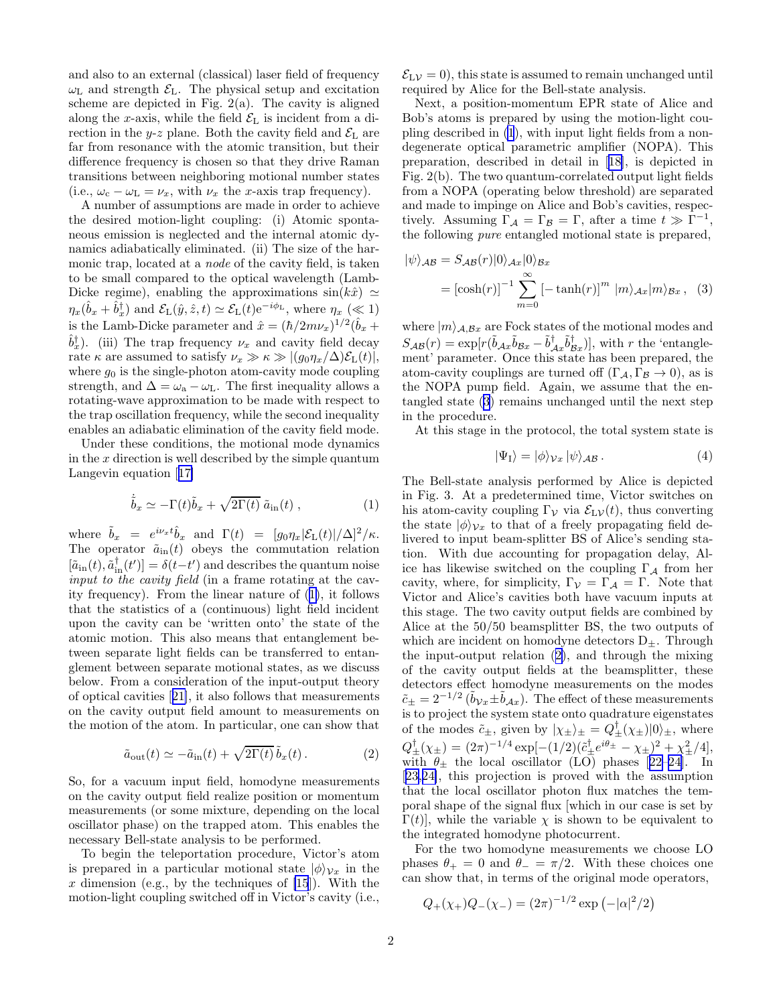and also to an external (classical) laser field of frequency  $\omega_{\text{L}}$  and strength  $\mathcal{E}_{\text{L}}$ . The physical setup and excitation scheme are depicted in Fig.  $2(a)$ . The cavity is aligned along the x-axis, while the field  $\mathcal{E}_L$  is incident from a direction in the y-z plane. Both the cavity field and  $\mathcal{E}_{L}$  are far from resonance with the atomic transition, but their difference frequency is chosen so that they drive Raman transitions between neighboring motional number states (i.e.,  $\omega_c - \omega_L = \nu_x$ , with  $\nu_x$  the x-axis trap frequency).

A number of assumptions are made in order to achieve the desired motion-light coupling: (i) Atomic spontaneous emission is neglected and the internal atomic dynamics adiabatically eliminated. (ii) The size of the harmonic trap, located at a *node* of the cavity field, is taken to be small compared to the optical wavelength (Lamb-Dicke regime), enabling the approximations  $sin(k\hat{x}) \simeq$  $\eta_x(\hat{b}_x + \hat{b}_x^{\dagger})$  and  $\mathcal{E}_L(\hat{y}, \hat{z}, t) \simeq \mathcal{E}_L(t) e^{-i\phi_L}$ , where  $\eta_x (\ll 1)$ is the Lamb-Dicke parameter and  $\hat{x} = (\hbar/2m\nu_x)^{1/2}(\hat{b}_x +$  $\hat{b}_x^{\dagger}$ ). (iii) The trap frequency  $\nu_x$  and cavity field decay rate  $\kappa$  are assumed to satisfy  $\nu_x \gg \kappa \gg |(g_0 \eta_x / \Delta) \mathcal{E}_L(t)|$ , where  $g_0$  is the single-photon atom-cavity mode coupling strength, and  $\Delta = \omega_a - \omega_L$ . The first inequality allows a rotating-wave approximation to be made with respect to the trap oscillation frequency, while the second inequality enables an adiabatic elimination of the cavity field mode.

Under these conditions, the motional mode dynamics in the  $x$  direction is well described by the simple quantum Langevin equation[[17\]](#page-2-0)

$$
\dot{\tilde{b}}_x \simeq -\Gamma(t)\tilde{b}_x + \sqrt{2\Gamma(t)} \tilde{a}_{\rm in}(t) , \qquad (1)
$$

where  $\tilde{b}_x = e^{i\nu_x t} \hat{b}_x$  and  $\Gamma(t) = [g_0 \eta_x | \mathcal{E}_L(t)| / \Delta]^2 / \kappa$ . The operator  $\tilde{a}_{in}(t)$  obeys the commutation relation  $[\tilde{a}_{\text{in}}(t), \tilde{a}_{\text{in}}^{\dagger}(t')] = \delta(t-t')$  and describes the quantum noise input to the cavity field (in a frame rotating at the cavity frequency). From the linear nature of (1), it follows that the statistics of a (continuous) light field incident upon the cavity can be 'written onto' the state of the atomic motion. This also means that entanglement between separate light fields can be transferred to entanglement between separate motional states, as we discuss below. From a consideration of the input-output theory of optical cavities[[21\]](#page-3-0), it also follows that measurements on the cavity output field amount to measurements on the motion of the atom. In particular, one can show that

$$
\tilde{a}_{\text{out}}(t) \simeq -\tilde{a}_{\text{in}}(t) + \sqrt{2\Gamma(t)}\,\tilde{b}_x(t) \,. \tag{2}
$$

So, for a vacuum input field, homodyne measurements on the cavity output field realize position or momentum measurements (or some mixture, depending on the local oscillator phase) on the trapped atom. This enables the necessary Bell-state analysis to be performed.

To begin the teleportation procedure, Victor's atom is prepared in a particular motional state  $|\phi\rangle_{v_x}$  in the x dimension (e.g., by the techniques of  $[15]$ ). With the motion-light coupling switched off in Victor's cavity (i.e.,

 $\mathcal{E}_{LV} = 0$ , this state is assumed to remain unchanged until required by Alice for the Bell-state analysis.

Next, a position-momentum EPR state of Alice and Bob's atoms is prepared by using the motion-light coupling described in (1), with input light fields from a nondegenerate optical parametric amplifier (NOPA). This preparation, described in detail in[[18\]](#page-3-0), is depicted in Fig. 2(b). The two quantum-correlated output light fields from a NOPA (operating below threshold) are separated and made to impinge on Alice and Bob's cavities, respectively. Assuming  $\Gamma_A = \Gamma_B = \Gamma$ , after a time  $t \gg \Gamma^{-1}$ , the following pure entangled motional state is prepared,

$$
|\psi\rangle_{AB} = S_{AB}(r)|0\rangle_{Ax}|0\rangle_{Bx}
$$
  
=  $[\cosh(r)]^{-1} \sum_{m=0}^{\infty} [-\tanh(r)]^{m} |m\rangle_{Ax}|m\rangle_{Bx}, (3)$ 

where  $|m\rangle_{A,\mathcal{B}x}$  are Fock states of the motional modes and  $S_{AB}(r) = \exp[r(\tilde{b}_{Ax}\tilde{b}_{Bx} - \tilde{b}_{Ax}\tilde{b}_{Bx}^{\dagger})],$  with r the 'entanglement' parameter. Once this state has been prepared, the atom-cavity couplings are turned off  $(\Gamma_{\mathcal{A}}, \Gamma_{\mathcal{B}} \to 0)$ , as is the NOPA pump field. Again, we assume that the entangled state (3) remains unchanged until the next step in the procedure.

At this stage in the protocol, the total system state is

$$
|\Psi_{\rm I}\rangle = |\phi\rangle_{\mathcal{V}x} |\psi\rangle_{\mathcal{AB}}.
$$
 (4)

The Bell-state analysis performed by Alice is depicted in Fig. 3. At a predetermined time, Victor switches on his atom-cavity coupling  $\Gamma_{\mathcal{V}}$  via  $\mathcal{E}_{\mathcal{L}}(\mathcal{V})$ , thus converting the state  $|\phi\rangle_{v_x}$  to that of a freely propagating field delivered to input beam-splitter BS of Alice's sending station. With due accounting for propagation delay, Alice has likewise switched on the coupling  $\Gamma_A$  from her cavity, where, for simplicity,  $\Gamma_{\mathcal{V}} = \Gamma_{\mathcal{A}} = \Gamma$ . Note that Victor and Alice's cavities both have vacuum inputs at this stage. The two cavity output fields are combined by Alice at the 50/50 beamsplitter BS, the two outputs of which are incident on homodyne detectors  $D_{\pm}$ . Through the input-output relation (2), and through the mixing of the cavity output fields at the beamsplitter, these detectors effect homodyne measurements on the modes  $\tilde{c}_{\pm} = 2^{-1/2} \left( \tilde{b}_{Vx} \pm \tilde{b}_{Ax} \right)$ . The effect of these measurements is to project the system state onto quadrature eigenstates of the modes  $\tilde{c}_{\pm}$ , given by  $|\chi_{\pm}\rangle_{\pm} = Q_{\pm}^{\dagger}(\chi_{\pm})|0\rangle_{\pm}$ , where  $Q_{\pm}^{\dagger}(\chi_{\pm}) = (2\pi)^{-1/4} \exp[-(1/2)(\tilde{c}_{\pm}^{\dagger}e^{i\theta_{\pm}} - \chi_{\pm})^2 + \chi_{\pm}^2/4],$ with $\theta_{\pm}$  the local oscillator (LO) phases [[22–24\]](#page-3-0). In [[23,24\]](#page-3-0), this projection is proved with the assumption that the local oscillator photon flux matches the temporal shape of the signal flux [which in our case is set by  $\Gamma(t)$ , while the variable  $\chi$  is shown to be equivalent to the integrated homodyne photocurrent.

For the two homodyne measurements we choose LO phases  $\theta_+ = 0$  and  $\theta_- = \pi/2$ . With these choices one can show that, in terms of the original mode operators,

$$
Q_{+}(\chi_{+})Q_{-}(\chi_{-}) = (2\pi)^{-1/2} \exp(-|\alpha|^{2}/2)
$$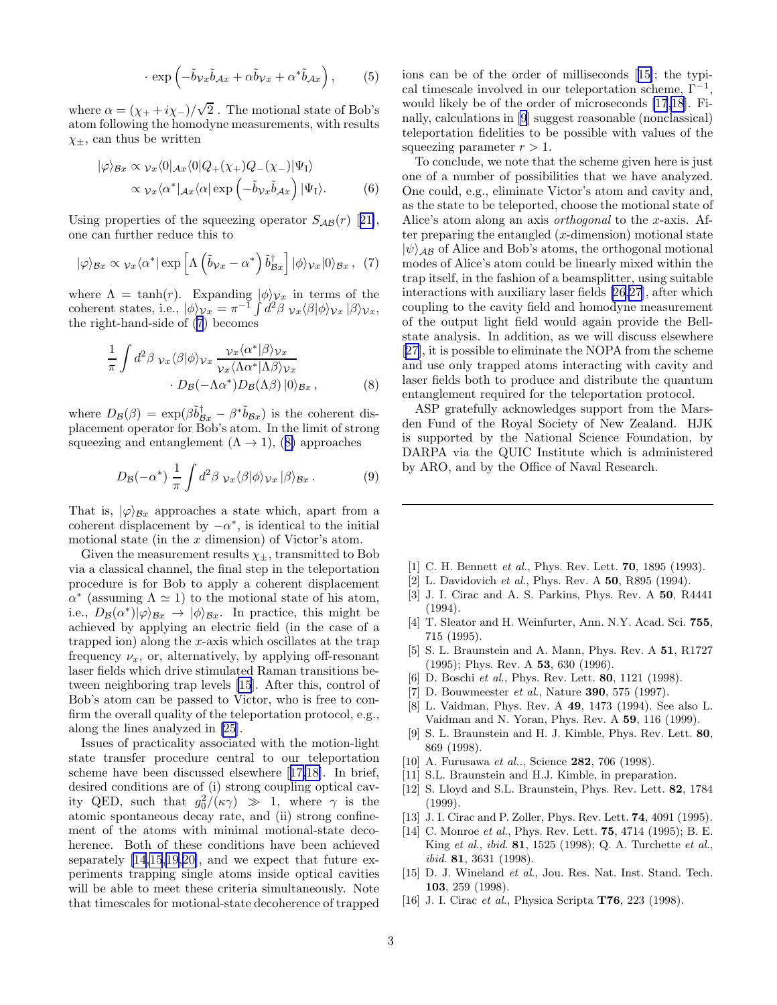$$
\cdot \exp\left(-\tilde{b}_{\mathcal{V}x}\tilde{b}_{\mathcal{A}x} + \alpha \tilde{b}_{\mathcal{V}x} + \alpha^* \tilde{b}_{\mathcal{A}x}\right),\tag{5}
$$

<span id="page-2-0"></span>where  $\alpha = (\chi_+ + i\chi_-)/\sqrt{2}$ . The motional state of Bob's atom following the homodyne measurements, with results  $\chi_{+}$ , can thus be written

$$
|\varphi\rangle_{\mathcal{B}x} \propto \nu_x \langle 0|_{\mathcal{A}x} \langle 0|Q_+(\chi_+)Q_-(\chi_-)|\Psi_{\rm I}\rangle
$$
  
 
$$
\propto \nu_x \langle \alpha^*|_{\mathcal{A}x} \langle \alpha| \exp\left(-\tilde{b}\nu_x \tilde{b}_{\mathcal{A}x}\right)|\Psi_{\rm I}\rangle. \tag{6}
$$

Usingproperties of the squeezing operator  $S_{AB}(r)$  [[21\]](#page-3-0), one can further reduce this to

$$
|\varphi\rangle_{\mathcal{B}x} \propto \nu_x \langle \alpha^* | \exp\left[\Lambda \left(\tilde{b}_{\mathcal{V}x} - \alpha^* \right) \tilde{b}_{\mathcal{B}x}^\dagger \right] |\phi\rangle_{\mathcal{V}x}|0\rangle_{\mathcal{B}x}, \tag{7}
$$

where  $\Lambda = \tanh(r)$ . Expanding  $|\phi\rangle_{\mathcal{V}x}$  in terms of the coherent states, i.e.,  $|\phi\rangle_{\mathcal{V}x} = \pi^{-1} \int d^2\beta \ \nu_x \langle \beta | \phi \rangle_{\mathcal{V}x} | \beta \rangle_{\mathcal{V}x}$ , the right-hand-side of (7) becomes

$$
\frac{1}{\pi} \int d^2 \beta \, \nu_x \langle \beta | \phi \rangle_{v_x} \frac{\nu_x \langle \alpha^* | \beta \rangle_{v_x}}{\nu_x \langle \Lambda \alpha^* | \Lambda \beta \rangle_{v_x}} \cdot D_{\mathcal{B}}(-\Lambda \alpha^*) D_{\mathcal{B}}(\Lambda \beta) |0\rangle_{\mathcal{B}x},
$$
\n(8)

where  $D_{\mathcal{B}}(\beta) = \exp(\beta \tilde{b}_{Bx}^{\dagger} - \beta^* \tilde{b}_{Bx})$  is the coherent displacement operator for Bob's atom. In the limit of strong squeezing and entanglement  $(\Lambda \rightarrow 1)$ , (8) approaches

$$
D_{\mathcal{B}}(-\alpha^*) \frac{1}{\pi} \int d^2 \beta \ \nu_x \langle \beta | \phi \rangle_{v_x} | \beta \rangle_{\mathcal{B}x} . \tag{9}
$$

That is,  $|\varphi\rangle_{B_x}$  approaches a state which, apart from a coherent displacement by  $-\alpha^*$ , is identical to the initial motional state (in the  $x$  dimension) of Victor's atom.

Given the measurement results  $\chi_{\pm}$ , transmitted to Bob via a classical channel, the final step in the teleportation procedure is for Bob to apply a coherent displacement  $\alpha^*$  (assuming  $\Lambda \simeq 1$ ) to the motional state of his atom, i.e.,  $D_{\mathcal{B}}(\alpha^*)|\varphi\rangle_{\mathcal{B}x} \rightarrow |\phi\rangle_{\mathcal{B}x}$ . In practice, this might be achieved by applying an electric field (in the case of a trapped ion) along the  $x$ -axis which oscillates at the trap frequency  $\nu_x$ , or, alternatively, by applying off-resonant laser fields which drive stimulated Raman transitions between neighboring trap levels [15]. After this, control of Bob's atom can be passed to Victor, who is free to confirm the overall quality of the teleportation protocol, e.g., along the lines analyzed in [\[25](#page-3-0)].

Issues of practicality associated with the motion-light state transfer procedure central to our teleportation scheme have been discussed elsewhere [17[,18\]](#page-3-0). In brief, desired conditions are of (i) strong coupling optical cavity QED, such that  $g_0^2/(\kappa \gamma) \gg 1$ , where  $\gamma$  is the atomic spontaneous decay rate, and (ii) strong confinement of the atoms with minimal motional-state decoherence. Both of these conditions have been achieved separately [14,15,[19,20\]](#page-3-0), and we expect that future experiments trapping single atoms inside optical cavities will be able to meet these criteria simultaneously. Note that timescales for motional-state decoherence of trapped ions can be of the order of milliseconds [15]; the typical timescale involved in our teleportation scheme,  $\Gamma^{-1}$ , would likely be of the order of microseconds [17[,18](#page-3-0)]. Finally, calculations in [9] suggest reasonable (nonclassical) teleportation fidelities to be possible with values of the squeezing parameter  $r > 1$ .

To conclude, we note that the scheme given here is just one of a number of possibilities that we have analyzed. One could, e.g., eliminate Victor's atom and cavity and, as the state to be teleported, choose the motional state of Alice's atom along an axis orthogonal to the x-axis. After preparing the entangled  $(x$ -dimension) motional state  $|\psi\rangle_{AB}$  of Alice and Bob's atoms, the orthogonal motional modes of Alice's atom could be linearly mixed within the trap itself, in the fashion of a beamsplitter, using suitable interactions with auxiliary laser fields [\[26](#page-3-0),[27](#page-3-0)], after which coupling to the cavity field and homodyne measurement of the output light field would again provide the Bellstate analysis. In addition, as we will discuss elsewhere [[27\]](#page-3-0), it is possible to eliminate the NOPA from the scheme and use only trapped atoms interacting with cavity and laser fields both to produce and distribute the quantum entanglement required for the teleportation protocol.

ASP gratefully acknowledges support from the Marsden Fund of the Royal Society of New Zealand. HJK is supported by the National Science Foundation, by DARPA via the QUIC Institute which is administered by ARO, and by the Office of Naval Research.

- [1] C. H. Bennett et al., Phys. Rev. Lett. **70**, 1895 (1993).
- [2] L. Davidovich et al., Phys. Rev. A 50, R895 (1994).
- [3] J. I. Cirac and A. S. Parkins, Phys. Rev. A 50, R4441 (1994).
- [4] T. Sleator and H. Weinfurter, Ann. N.Y. Acad. Sci. 755, 715 (1995).
- [5] S. L. Braunstein and A. Mann, Phys. Rev. A 51, R1727 (1995); Phys. Rev. A 53, 630 (1996).
- [6] D. Boschi et al., Phys. Rev. Lett. **80**, 1121 (1998).
- [7] D. Bouwmeester et al., Nature 390, 575 (1997).
- [8] L. Vaidman, Phys. Rev. A 49, 1473 (1994). See also L. Vaidman and N. Yoran, Phys. Rev. A 59, 116 (1999).
- [9] S. L. Braunstein and H. J. Kimble, Phys. Rev. Lett. 80, 869 (1998).
- [10] A. Furusawa et al.., Science 282, 706 (1998).
- [11] S.L. Braunstein and H.J. Kimble, in preparation.
- [12] S. Lloyd and S.L. Braunstein, Phys. Rev. Lett. **82**, 1784 (1999).
- [13] J. I. Cirac and P. Zoller, Phys. Rev. Lett. **74**, 4091 (1995).
- [14] C. Monroe *et al.*, Phys. Rev. Lett. **75**, 4714 (1995); B. E. King et al., ibid. 81, 1525 (1998); Q. A. Turchette et al., ibid. 81, 3631 (1998).
- [15] D. J. Wineland et al., Jou. Res. Nat. Inst. Stand. Tech. 103, 259 (1998).
- [16] J. I. Cirac *et al.*, Physica Scripta **T76**, 223 (1998).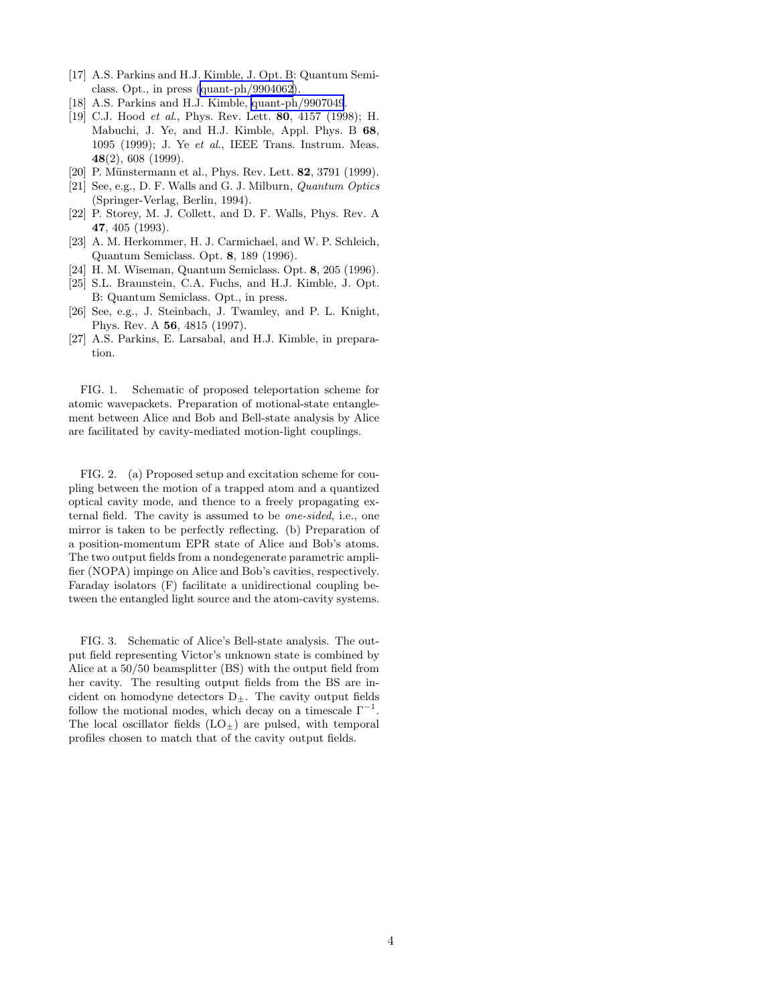- <span id="page-3-0"></span>[17] A.S. Parkins and H.J. Kimble, J. Opt. B: Quantum Semiclass. Opt., in press [\(quant-ph/9904062](http://arxiv.org/abs/quant-ph/9904062)).
- [18] A.S. Parkins and H.J. Kimble, [quant-ph/9907049](http://arxiv.org/abs/quant-ph/9907049).
- [19] C.J. Hood *et al.*, Phys. Rev. Lett. **80**, 4157 (1998); H. Mabuchi, J. Ye, and H.J. Kimble, Appl. Phys. B 68, 1095 (1999); J. Ye et al., IEEE Trans. Instrum. Meas. 48(2), 608 (1999).
- [20] P. Münstermann et al., Phys. Rev. Lett. **82**, 3791 (1999).
- [21] See, e.g., D. F. Walls and G. J. Milburn, Quantum Optics (Springer-Verlag, Berlin, 1994).
- [22] P. Storey, M. J. Collett, and D. F. Walls, Phys. Rev. A 47, 405 (1993).
- [23] A. M. Herkommer, H. J. Carmichael, and W. P. Schleich, Quantum Semiclass. Opt. 8, 189 (1996).
- [24] H. M. Wiseman, Quantum Semiclass. Opt. 8, 205 (1996).
- [25] S.L. Braunstein, C.A. Fuchs, and H.J. Kimble, J. Opt. B: Quantum Semiclass. Opt., in press.
- [26] See, e.g., J. Steinbach, J. Twamley, and P. L. Knight, Phys. Rev. A 56, 4815 (1997).
- [27] A.S. Parkins, E. Larsabal, and H.J. Kimble, in preparation.

FIG. 1. Schematic of proposed teleportation scheme for atomic wavepackets. Preparation of motional-state entanglement between Alice and Bob and Bell-state analysis by Alice are facilitated by cavity-mediated motion-light couplings.

FIG. 2. (a) Proposed setup and excitation scheme for coupling between the motion of a trapped atom and a quantized optical cavity mode, and thence to a freely propagating external field. The cavity is assumed to be one-sided, i.e., one mirror is taken to be perfectly reflecting. (b) Preparation of a position-momentum EPR state of Alice and Bob's atoms. The two output fields from a nondegenerate parametric amplifier (NOPA) impinge on Alice and Bob's cavities, respectively. Faraday isolators (F) facilitate a unidirectional coupling between the entangled light source and the atom-cavity systems.

FIG. 3. Schematic of Alice's Bell-state analysis. The output field representing Victor's unknown state is combined by Alice at a 50/50 beamsplitter (BS) with the output field from her cavity. The resulting output fields from the BS are incident on homodyne detectors  $D_{\pm}$ . The cavity output fields follow the motional modes, which decay on a timescale  $\Gamma^{-1}$ . The local oscillator fields  $(LO<sub>±</sub>)$  are pulsed, with temporal profiles chosen to match that of the cavity output fields.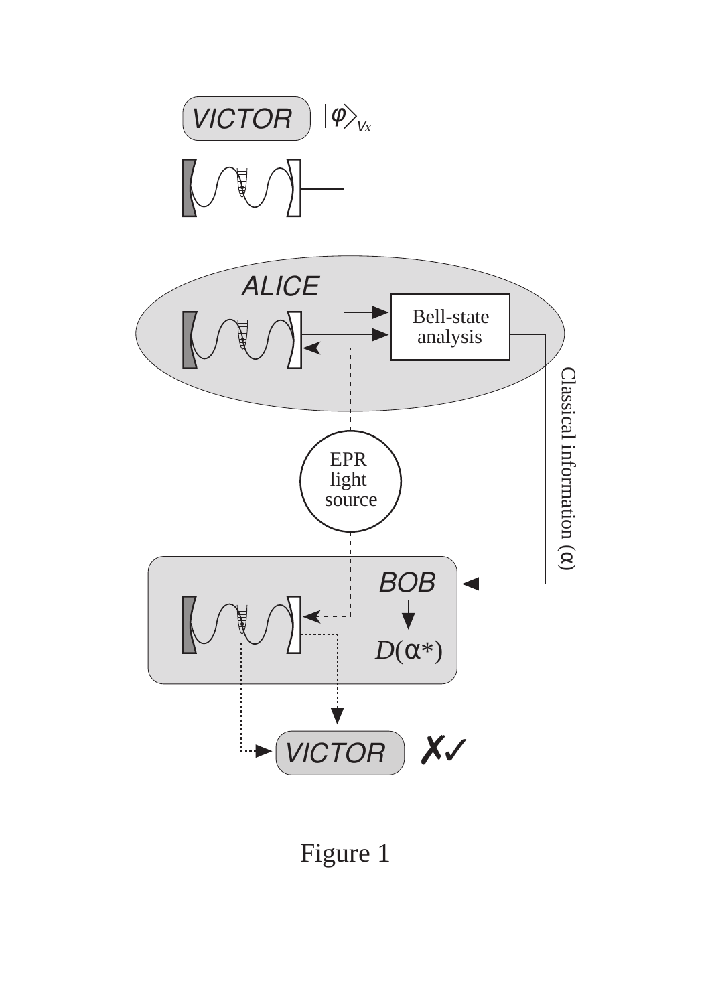

Figure 1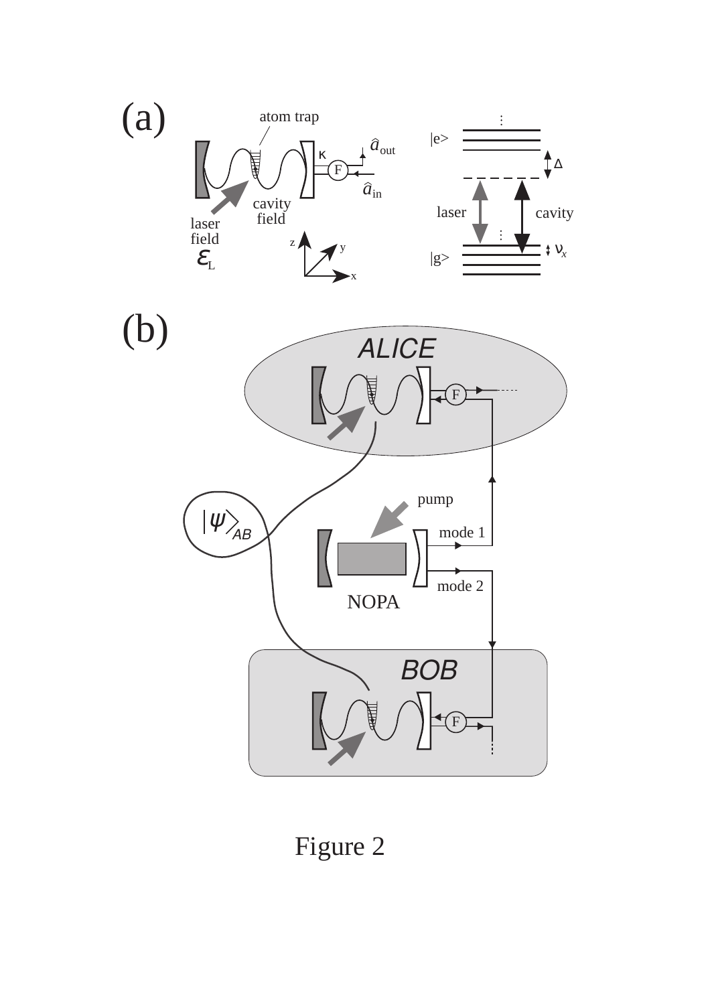

Figure 2